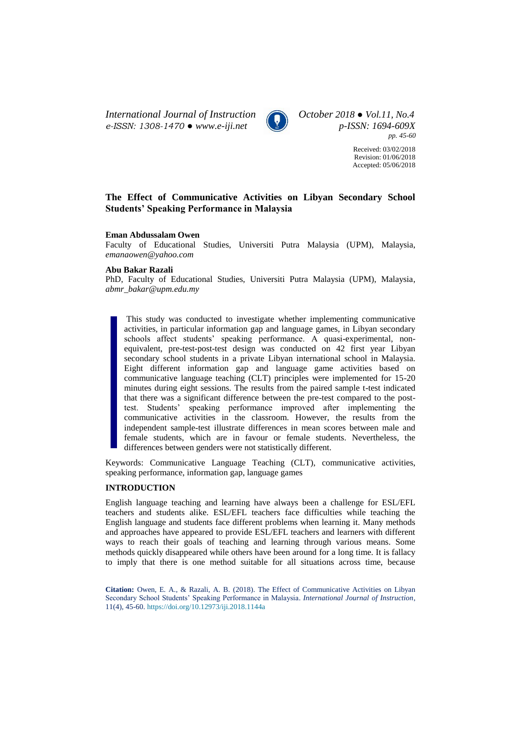*International Journal of Instruction October 2018 ● Vol.11, No.4 e-ISSN: 1308-1470 ● [www.e-iji.net](http://www.e-iji.net/) p-ISSN: 1694-609X*



*pp. 45-60*

Received: 03/02/2018 Revision: 01/06/2018 Accepted: 05/06/2018

# **The Effect of Communicative Activities on Libyan Secondary School Students' Speaking Performance in Malaysia**

### **Eman Abdussalam Owen**

Faculty of Educational Studies, Universiti Putra Malaysia (UPM), Malaysia, *emanaowen@yahoo.com*

## **Abu Bakar Razali**

PhD, Faculty of Educational Studies, Universiti Putra Malaysia (UPM), Malaysia, *abmr\_bakar@upm.edu.my*

This study was conducted to investigate whether implementing communicative activities, in particular information gap and language games, in Libyan secondary schools affect students' speaking performance. A quasi-experimental, nonequivalent, pre-test-post-test design was conducted on 42 first year Libyan secondary school students in a private Libyan international school in Malaysia. Eight different information gap and language game activities based on communicative language teaching (CLT) principles were implemented for 15-20 minutes during eight sessions. The results from the paired sample t-test indicated that there was a significant difference between the pre-test compared to the posttest. Students' speaking performance improved after implementing the communicative activities in the classroom. However, the results from the independent sample-test illustrate differences in mean scores between male and female students, which are in favour or female students. Nevertheless, the differences between genders were not statistically different.

Keywords: Communicative Language Teaching (CLT), communicative activities, speaking performance, information gap, language games

# **INTRODUCTION**

English language teaching and learning have always been a challenge for ESL/EFL teachers and students alike. ESL/EFL teachers face difficulties while teaching the English language and students face different problems when learning it. Many methods and approaches have appeared to provide ESL/EFL teachers and learners with different ways to reach their goals of teaching and learning through various means. Some methods quickly disappeared while others have been around for a long time. It is fallacy to imply that there is one method suitable for all situations across time, because

**Citation:** Owen, E. A., & Razali, A. B. (2018). The Effect of Communicative Activities on Libyan Secondary School Students' Speaking Performance in Malaysia. *International Journal of Instruction*, 11(4), 45-60. <https://doi.org/10.12973/iji.2018.1144a>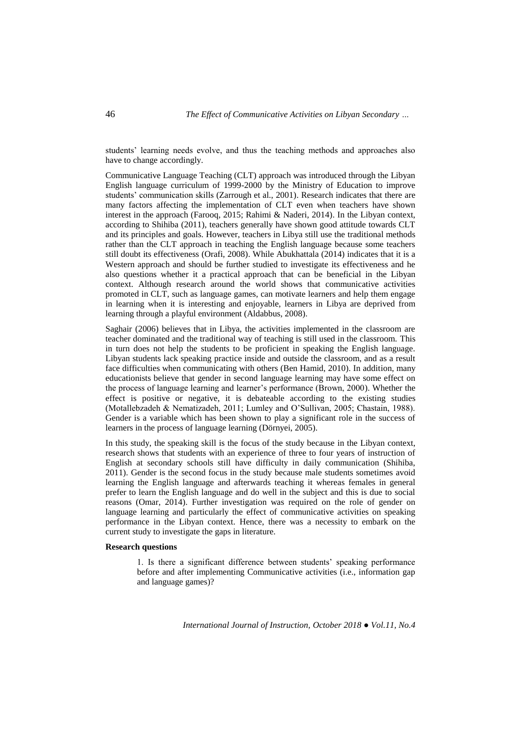students' learning needs evolve, and thus the teaching methods and approaches also have to change accordingly.

Communicative Language Teaching (CLT) approach was introduced through the Libyan English language curriculum of 1999-2000 by the Ministry of Education to improve students' communication skills (Zarrough et al., 2001). Research indicates that there are many factors affecting the implementation of CLT even when teachers have shown interest in the approach (Farooq, 2015; Rahimi & Naderi, 2014). In the Libyan context, according to Shihiba (2011), teachers generally have shown good attitude towards CLT and its principles and goals. However, teachers in Libya still use the traditional methods rather than the CLT approach in teaching the English language because some teachers still doubt its effectiveness (Orafi, 2008). While Abukhattala (2014) indicates that it is a Western approach and should be further studied to investigate its effectiveness and he also questions whether it a practical approach that can be beneficial in the Libyan context. Although research around the world shows that communicative activities promoted in CLT, such as language games, can motivate learners and help them engage in learning when it is interesting and enjoyable, learners in Libya are deprived from learning through a playful environment (Aldabbus, 2008).

Saghair (2006) believes that in Libya, the activities implemented in the classroom are teacher dominated and the traditional way of teaching is still used in the classroom. This in turn does not help the students to be proficient in speaking the English language. Libyan students lack speaking practice inside and outside the classroom, and as a result face difficulties when communicating with others (Ben Hamid, 2010). In addition, many educationists believe that gender in second language learning may have some effect on the process of language learning and learner's performance (Brown, 2000). Whether the effect is positive or negative, it is debateable according to the existing studies (Motallebzadeh & Nematizadeh, 2011; Lumley and O'Sullivan, 2005; Chastain, 1988). Gender is a variable which has been shown to play a significant role in the success of learners in the process of language learning (Dörnyei, 2005).

In this study, the speaking skill is the focus of the study because in the Libyan context, research shows that students with an experience of three to four years of instruction of English at secondary schools still have difficulty in daily communication (Shihiba, 2011). Gender is the second focus in the study because male students sometimes avoid learning the English language and afterwards teaching it whereas females in general prefer to learn the English language and do well in the subject and this is due to social reasons (Omar, 2014). Further investigation was required on the role of gender on language learning and particularly the effect of communicative activities on speaking performance in the Libyan context. Hence, there was a necessity to embark on the current study to investigate the gaps in literature.

### **Research questions**

1. Is there a significant difference between students' speaking performance before and after implementing Communicative activities (i.e., information gap and language games)?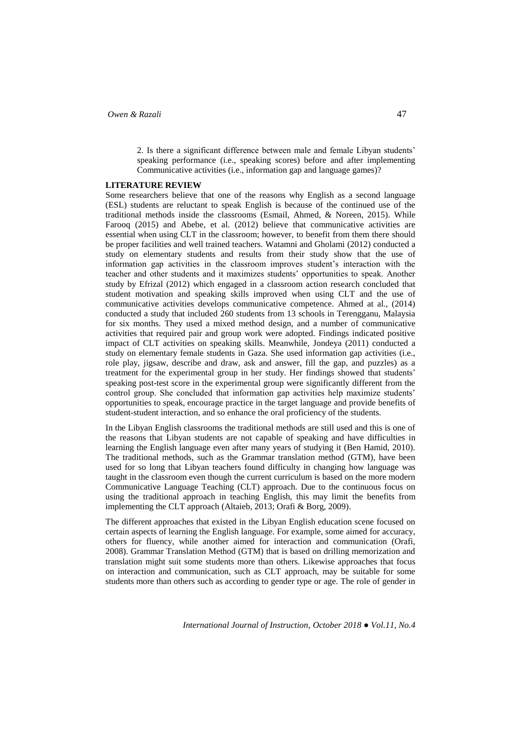2. Is there a significant difference between male and female Libyan students' speaking performance (i.e., speaking scores) before and after implementing Communicative activities (i.e., information gap and language games)?

### **LITERATURE REVIEW**

Some researchers believe that one of the reasons why English as a second language (ESL) students are reluctant to speak English is because of the continued use of the traditional methods inside the classrooms (Esmail, Ahmed, & Noreen, 2015). While Farooq (2015) and Abebe, et al. (2012) believe that communicative activities are essential when using CLT in the classroom; however, to benefit from them there should be proper facilities and well trained teachers. Watamni and Gholami (2012) conducted a study on elementary students and results from their study show that the use of information gap activities in the classroom improves student's interaction with the teacher and other students and it maximizes students' opportunities to speak. Another study by Efrizal (2012) which engaged in a classroom action research concluded that student motivation and speaking skills improved when using CLT and the use of communicative activities develops communicative competence. Ahmed at al., (2014) conducted a study that included 260 students from 13 schools in Terengganu, Malaysia for six months. They used a mixed method design, and a number of communicative activities that required pair and group work were adopted. Findings indicated positive impact of CLT activities on speaking skills. Meanwhile, Jondeya (2011) conducted a study on elementary female students in Gaza. She used information gap activities (i.e., role play, jigsaw, describe and draw, ask and answer, fill the gap, and puzzles) as a treatment for the experimental group in her study. Her findings showed that students' speaking post-test score in the experimental group were significantly different from the control group. She concluded that information gap activities help maximize students' opportunities to speak, encourage practice in the target language and provide benefits of student-student interaction, and so enhance the oral proficiency of the students.

In the Libyan English classrooms the traditional methods are still used and this is one of the reasons that Libyan students are not capable of speaking and have difficulties in learning the English language even after many years of studying it (Ben Hamid, 2010). The traditional methods, such as the Grammar translation method (GTM), have been used for so long that Libyan teachers found difficulty in changing how language was taught in the classroom even though the current curriculum is based on the more modern Communicative Language Teaching (CLT) approach. Due to the continuous focus on using the traditional approach in teaching English, this may limit the benefits from implementing the CLT approach (Altaieb, 2013; Orafi & Borg, 2009).

The different approaches that existed in the Libyan English education scene focused on certain aspects of learning the English language. For example, some aimed for accuracy, others for fluency, while another aimed for interaction and communication (Orafi, 2008). Grammar Translation Method (GTM) that is based on drilling memorization and translation might suit some students more than others. Likewise approaches that focus on interaction and communication, such as CLT approach, may be suitable for some students more than others such as according to gender type or age. The role of gender in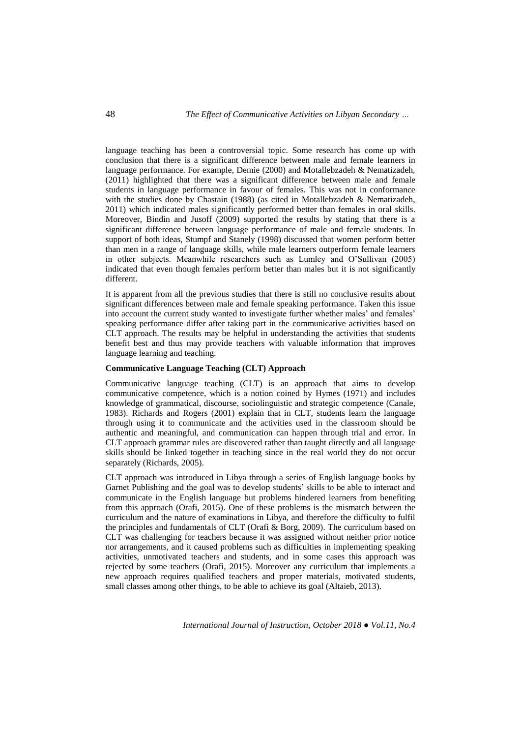language teaching has been a controversial topic. Some research has come up with conclusion that there is a significant difference between male and female learners in language performance. For example, Demie (2000) and Motallebzadeh & Nematizadeh, (2011) highlighted that there was a significant difference between male and female students in language performance in favour of females. This was not in conformance with the studies done by Chastain (1988) (as cited in Motallebzadeh & Nematizadeh, 2011) which indicated males significantly performed better than females in oral skills. Moreover, Bindin and Jusoff (2009) supported the results by stating that there is a significant difference between language performance of male and female students. In support of both ideas, Stumpf and Stanely (1998) discussed that women perform better than men in a range of language skills, while male learners outperform female learners in other subjects. Meanwhile researchers such as Lumley and O'Sullivan (2005) indicated that even though females perform better than males but it is not significantly different.

It is apparent from all the previous studies that there is still no conclusive results about significant differences between male and female speaking performance. Taken this issue into account the current study wanted to investigate further whether males' and females' speaking performance differ after taking part in the communicative activities based on CLT approach. The results may be helpful in understanding the activities that students benefit best and thus may provide teachers with valuable information that improves language learning and teaching.

### **Communicative Language Teaching (CLT) Approach**

Communicative language teaching (CLT) is an approach that aims to develop communicative competence, which is a notion coined by Hymes (1971) and includes knowledge of grammatical, discourse, sociolinguistic and strategic competence (Canale, 1983). Richards and Rogers (2001) explain that in CLT, students learn the language through using it to communicate and the activities used in the classroom should be authentic and meaningful, and communication can happen through trial and error. In CLT approach grammar rules are discovered rather than taught directly and all language skills should be linked together in teaching since in the real world they do not occur separately (Richards, 2005).

CLT approach was introduced in Libya through a series of English language books by Garnet Publishing and the goal was to develop students' skills to be able to interact and communicate in the English language but problems hindered learners from benefiting from this approach (Orafi, 2015). One of these problems is the mismatch between the curriculum and the nature of examinations in Libya, and therefore the difficulty to fulfil the principles and fundamentals of CLT (Orafi & Borg, 2009). The curriculum based on CLT was challenging for teachers because it was assigned without neither prior notice nor arrangements, and it caused problems such as difficulties in implementing speaking activities, unmotivated teachers and students, and in some cases this approach was rejected by some teachers (Orafi, 2015). Moreover any curriculum that implements a new approach requires qualified teachers and proper materials, motivated students, small classes among other things, to be able to achieve its goal (Altaieb, 2013).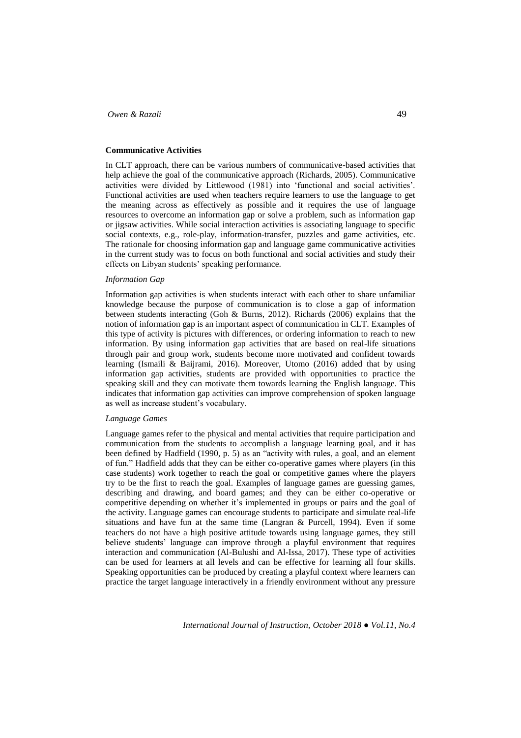### **Communicative Activities**

In CLT approach, there can be various numbers of communicative-based activities that help achieve the goal of the communicative approach (Richards, 2005). Communicative activities were divided by Littlewood (1981) into 'functional and social activities'. Functional activities are used when teachers require learners to use the language to get the meaning across as effectively as possible and it requires the use of language resources to overcome an information gap or solve a problem, such as information gap or jigsaw activities. While social interaction activities is associating language to specific social contexts, e.g., role-play, information-transfer, puzzles and game activities, etc. The rationale for choosing information gap and language game communicative activities in the current study was to focus on both functional and social activities and study their effects on Libyan students' speaking performance.

#### *Information Gap*

Information gap activities is when students interact with each other to share unfamiliar knowledge because the purpose of communication is to close a gap of information between students interacting (Goh & Burns, 2012). Richards (2006) explains that the notion of information gap is an important aspect of communication in CLT. Examples of this type of activity is pictures with differences, or ordering information to reach to new information*.* By using information gap activities that are based on real-life situations through pair and group work, students become more motivated and confident towards learning (Ismaili & Baijrami, 2016). Moreover, Utomo (2016) added that by using information gap activities, students are provided with opportunities to practice the speaking skill and they can motivate them towards learning the English language. This indicates that information gap activities can improve comprehension of spoken language as well as increase student's vocabulary.

## *Language Games*

Language games refer to the physical and mental activities that require participation and communication from the students to accomplish a language learning goal, and it has been defined by Hadfield (1990, p. 5) as an "activity with rules, a goal, and an element of fun." Hadfield adds that they can be either co-operative games where players (in this case students) work together to reach the goal or competitive games where the players try to be the first to reach the goal. Examples of language games are guessing games, describing and drawing, and board games; and they can be either co-operative or competitive depending on whether it's implemented in groups or pairs and the goal of the activity. Language games can encourage students to participate and simulate real-life situations and have fun at the same time (Langran & Purcell, 1994). Even if some teachers do not have a high positive attitude towards using language games, they still believe students' language can improve through a playful environment that requires interaction and communication (Al-Bulushi and Al-Issa, 2017). These type of activities can be used for learners at all levels and can be effective for learning all four skills. Speaking opportunities can be produced by creating a playful context where learners can practice the target language interactively in a friendly environment without any pressure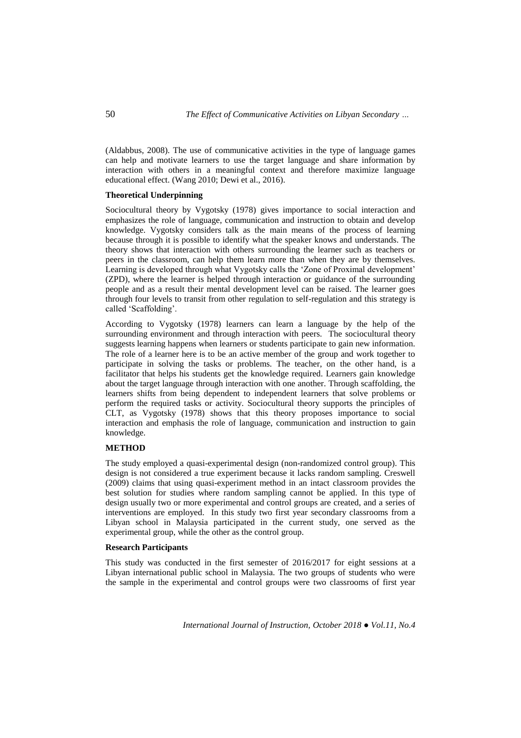(Aldabbus, 2008). The use of communicative activities in the type of language games can help and motivate learners to use the target language and share information by interaction with others in a meaningful context and therefore maximize language educational effect. (Wang 2010; Dewi et al., 2016).

### **Theoretical Underpinning**

Sociocultural theory by Vygotsky (1978) gives importance to social interaction and emphasizes the role of language, communication and instruction to obtain and develop knowledge. Vygotsky considers talk as the main means of the process of learning because through it is possible to identify what the speaker knows and understands. The theory shows that interaction with others surrounding the learner such as teachers or peers in the classroom, can help them learn more than when they are by themselves. Learning is developed through what Vygotsky calls the 'Zone of Proximal development' (ZPD), where the learner is helped through interaction or guidance of the surrounding people and as a result their mental development level can be raised. The learner goes through four levels to transit from other regulation to self-regulation and this strategy is called 'Scaffolding'.

According to Vygotsky (1978) learners can learn a language by the help of the surrounding environment and through interaction with peers. The sociocultural theory suggests learning happens when learners or students participate to gain new information. The role of a learner here is to be an active member of the group and work together to participate in solving the tasks or problems. The teacher, on the other hand, is a facilitator that helps his students get the knowledge required. Learners gain knowledge about the target language through interaction with one another. Through scaffolding, the learners shifts from being dependent to independent learners that solve problems or perform the required tasks or activity. Sociocultural theory supports the principles of CLT, as Vygotsky (1978) shows that this theory proposes importance to social interaction and emphasis the role of language, communication and instruction to gain knowledge.

## **METHOD**

The study employed a quasi-experimental design (non-randomized control group). This design is not considered a true experiment because it lacks random sampling. Creswell (2009) claims that using quasi-experiment method in an intact classroom provides the best solution for studies where random sampling cannot be applied. In this type of design usually two or more experimental and control groups are created, and a series of interventions are employed. In this study two first year secondary classrooms from a Libyan school in Malaysia participated in the current study, one served as the experimental group, while the other as the control group.

### **Research Participants**

This study was conducted in the first semester of 2016/2017 for eight sessions at a Libyan international public school in Malaysia. The two groups of students who were the sample in the experimental and control groups were two classrooms of first year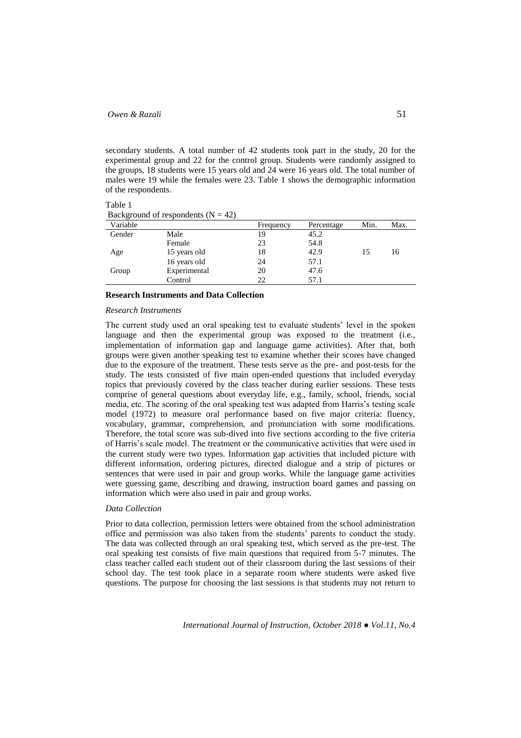secondary students. A total number of 42 students took part in the study, 20 for the experimental group and 22 for the control group. Students were randomly assigned to the groups, 18 students were 15 years old and 24 were 16 years old. The total number of males were 19 while the females were 23. Table 1 shows the demographic information of the respondents.

Table 1 Background of respondents  $(N = 42)$ 

| Variable |              | Frequency | Percentage | Min. | Max. |
|----------|--------------|-----------|------------|------|------|
| Gender   | Male         | 19        | 45.2       |      |      |
|          | Female       | 23        | 54.8       |      |      |
| Age      | 15 years old | 18        | 42.9       | 15   | 16   |
|          | 16 years old | 24        | 57.1       |      |      |
| Group    | Experimental | 20        | 47.6       |      |      |
|          | Control      | 22        | 57.1       |      |      |

#### **Research Instruments and Data Collection**

#### *Research Instruments*

The current study used an oral speaking test to evaluate students' level in the spoken language and then the experimental group was exposed to the treatment (i.e., implementation of information gap and language game activities). After that, both groups were given another speaking test to examine whether their scores have changed due to the exposure of the treatment. These tests serve as the pre- and post-tests for the study. The tests consisted of five main open-ended questions that included everyday topics that previously covered by the class teacher during earlier sessions. These tests comprise of general questions about everyday life, e.g., family, school, friends, social media, etc. The scoring of the oral speaking test was adapted from Harris's testing scale model (1972) to measure oral performance based on five major criteria: fluency, vocabulary, grammar, comprehension, and pronunciation with some modifications. Therefore, the total score was sub-dived into five sections according to the five criteria of Harris's scale model. The treatment or the communicative activities that were used in the current study were two types. Information gap activities that included picture with different information, ordering pictures, directed dialogue and a strip of pictures or sentences that were used in pair and group works. While the language game activities were guessing game, describing and drawing, instruction board games and passing on information which were also used in pair and group works.

#### *Data Collection*

Prior to data collection, permission letters were obtained from the school administration office and permission was also taken from the students' parents to conduct the study. The data was collected through an oral speaking test, which served as the pre-test. The oral speaking test consists of five main questions that required from 5-7 minutes. The class teacher called each student out of their classroom during the last sessions of their school day. The test took place in a separate room where students were asked five questions. The purpose for choosing the last sessions is that students may not return to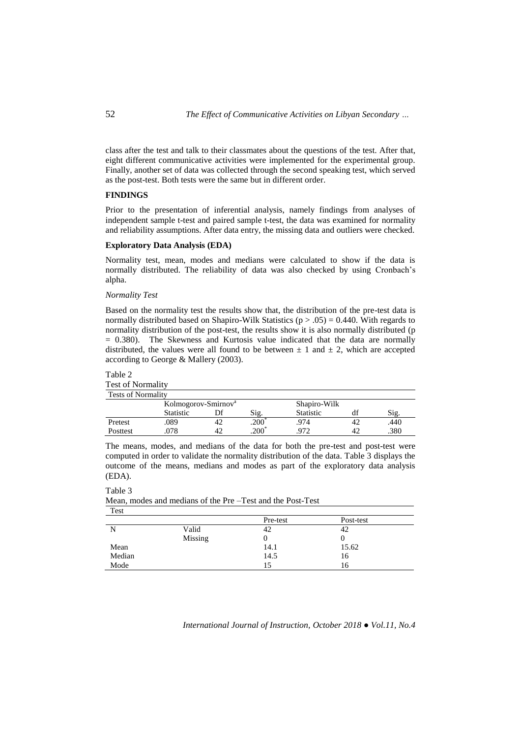class after the test and talk to their classmates about the questions of the test. After that, eight different communicative activities were implemented for the experimental group. Finally, another set of data was collected through the second speaking test, which served as the post-test. Both tests were the same but in different order.

### **FINDINGS**

Prior to the presentation of inferential analysis, namely findings from analyses of independent sample t-test and paired sample t-test, the data was examined for normality and reliability assumptions. After data entry, the missing data and outliers were checked.

# **Exploratory Data Analysis (EDA)**

Normality test, mean, modes and medians were calculated to show if the data is normally distributed. The reliability of data was also checked by using Cronbach's alpha.

### *Normality Test*

Based on the normality test the results show that, the distribution of the pre-test data is normally distributed based on Shapiro-Wilk Statistics ( $p > .05$ ) = 0.440. With regards to normality distribution of the post-test, the results show it is also normally distributed (p = 0.380). The Skewness and Kurtosis value indicated that the data are normally distributed, the values were all found to be between  $\pm$  1 and  $\pm$  2, which are accepted according to George & Mallery (2003).

# Table 2 Test of Normality

Table 3

| <b>Tests of Normality</b> |                                 |    |                |                  |    |      |  |  |
|---------------------------|---------------------------------|----|----------------|------------------|----|------|--|--|
|                           | Kolmogorov-Smirnov <sup>a</sup> |    |                | Shapiro-Wilk     |    |      |  |  |
|                           | <b>Statistic</b>                |    | Sig.           | <b>Statistic</b> | df | Sig. |  |  |
| Pretest                   | .089                            |    | $.200^{\circ}$ | .974             | 42 | .440 |  |  |
| Posttest                  | 078                             | 42 | $.200*$        | 972              | 42 | .380 |  |  |

The means, modes, and medians of the data for both the pre-test and post-test were computed in order to validate the normality distribution of the data. Table 3 displays the outcome of the means, medians and modes as part of the exploratory data analysis (EDA).

| Test   |         |          |           |  |
|--------|---------|----------|-----------|--|
|        |         | Pre-test | Post-test |  |
| N      | Valid   | 42       | 42        |  |
|        | Missing |          |           |  |
| Mean   |         | 14.1     | 15.62     |  |
| Median |         | 14.5     | 16        |  |
| Mode   |         |          | 16        |  |

Mean, modes and medians of the Pre –Test and the Post-Test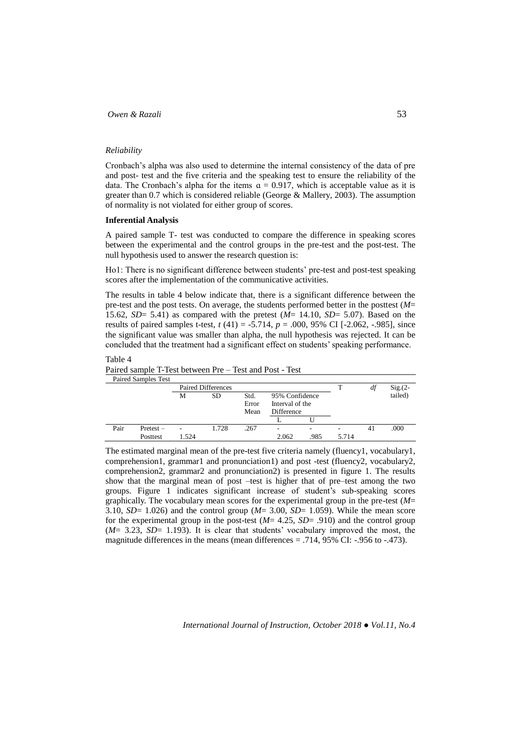### *Reliability*

Cronbach's alpha was also used to determine the internal consistency of the data of pre and post- test and the five criteria and the speaking test to ensure the reliability of the data. The Cronbach's alpha for the items  $\alpha = 0.917$ , which is acceptable value as it is greater than 0.7 which is considered reliable (George & Mallery, 2003). The assumption of normality is not violated for either group of scores.

#### **Inferential Analysis**

A paired sample T- test was conducted to compare the difference in speaking scores between the experimental and the control groups in the pre-test and the post-test. The null hypothesis used to answer the research question is:

Ho1: There is no significant difference between students' pre-test and post-test speaking scores after the implementation of the communicative activities.

The results in table 4 below indicate that, there is a significant difference between the pre-test and the post tests. On average, the students performed better in the posttest (*M*= 15.62, *SD*= 5.41) as compared with the pretest (*M*= 14.10, *SD*= 5.07). Based on the results of paired samples t-test, *t* (41) = -5.714, *p* = .000, 95% CI [-2.062, -.985], since the significant value was smaller than alpha, the null hypothesis was rejected. It can be concluded that the treatment had a significant effect on students' speaking performance.

## Table 4

Paired sample T-Test between Pre – Test and Post - Test

|      | <b>Paired Samples Test</b> |       |                    |                       |                                                        |                          |       |    |           |
|------|----------------------------|-------|--------------------|-----------------------|--------------------------------------------------------|--------------------------|-------|----|-----------|
|      |                            |       | Paired Differences |                       |                                                        |                          |       | df | $Sig(2 -$ |
|      |                            | М     | SD                 | Std.<br>Error<br>Mean | 95% Confidence<br>Interval of the<br><b>Difference</b> |                          |       |    | tailed)   |
|      |                            |       |                    |                       |                                                        |                          |       |    |           |
| Pair | Pretest –                  | ۰     | 1.728              | .267                  | -                                                      | $\overline{\phantom{a}}$ | ۰     | 41 | .000      |
|      | Posttest                   | 1.524 |                    |                       | 2.062                                                  | .985                     | 5.714 |    |           |

The estimated marginal mean of the pre-test five criteria namely (fluency1, vocabulary1, comprehension1, grammar1 and pronunciation1) and post -test (fluency2, vocabulary2, comprehension2, grammar2 and pronunciation2) is presented in figure 1. The results show that the marginal mean of post –test is higher that of pre–test among the two groups. Figure 1 indicates significant increase of student's sub-speaking scores graphically. The vocabulary mean scores for the experimental group in the pre-test (*M*= 3.10, *SD*= 1.026) and the control group (*M*= 3.00, *SD*= 1.059). While the mean score for the experimental group in the post-test  $(M=4.25, SD=0.910)$  and the control group (*M*= 3.23, *SD*= 1.193). It is clear that students' vocabulary improved the most, the magnitude differences in the means (mean differences  $= .714, 95\%$  CI:  $-.956$  to  $-.473$ ).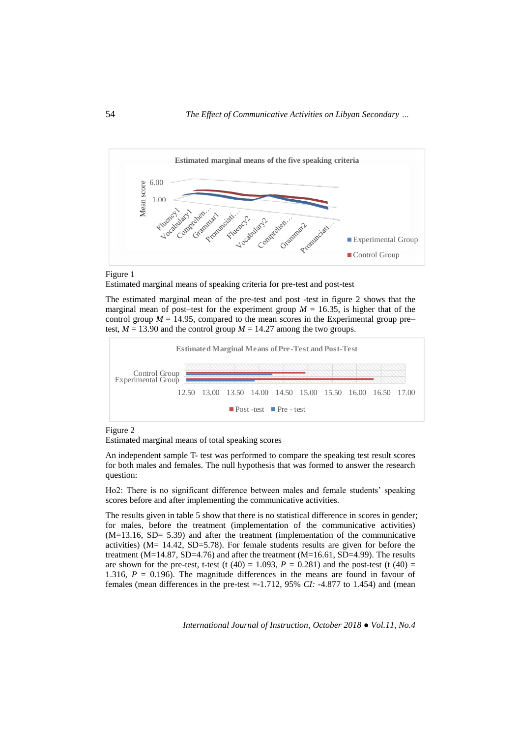



Estimated marginal means of speaking criteria for pre-test and post-test

The estimated marginal mean of the pre-test and post -test in figure 2 shows that the marginal mean of post–test for the experiment group  $M = 16.35$ , is higher that of the control group  $M = 14.95$ , compared to the mean scores in the Experimental group pre– test,  $M = 13.90$  and the control group  $M = 14.27$  among the two groups.



Figure 2

Estimated marginal means of total speaking scores

An independent sample T- test was performed to compare the speaking test result scores for both males and females. The null hypothesis that was formed to answer the research question:

Ho2: There is no significant difference between males and female students' speaking scores before and after implementing the communicative activities.

The results given in table 5 show that there is no statistical difference in scores in gender; for males, before the treatment (implementation of the communicative activities) (M=13.16, SD= 5.39) and after the treatment (implementation of the communicative activities) (M= 14.42, SD=5.78). For female students results are given for before the treatment (M=14.87, SD=4.76) and after the treatment (M=16.61, SD=4.99). The results are shown for the pre-test, t-test (t  $(40) = 1.093$ ,  $P = 0.281$ ) and the post-test (t  $(40) =$ 1.316,  $P = 0.196$ ). The magnitude differences in the means are found in favour of females (mean differences in the pre-test =-1.712, 95% *CI:* -4.877 to 1.454) and (mean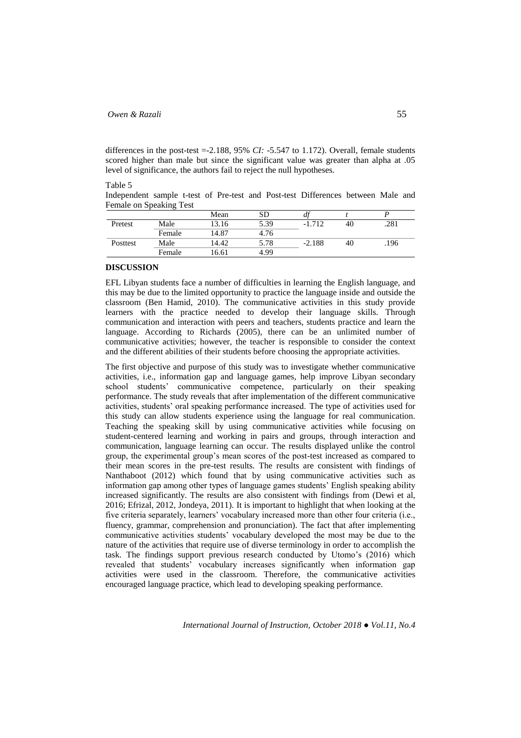differences in the post-test  $=$ -2.188, 95% *CI*: -5.547 to 1.172). Overall, female students scored higher than male but since the significant value was greater than alpha at .05 level of significance, the authors fail to reject the null hypotheses.

Table 5

Independent sample t-test of Pre-test and Post-test Differences between Male and Female on Speaking Test

|          |        | Mean  | SD   |          |    |      |
|----------|--------|-------|------|----------|----|------|
| Pretest  | Male   | 13.16 | 5.39 | 712      | 40 | .281 |
|          | Female | 14.87 | 4.76 |          |    |      |
| Posttest | Male   | 14.42 | 5.78 | $-2.188$ | 40 | .196 |
|          | Female | 16.61 | 4.99 |          |    |      |

## **DISCUSSION**

EFL Libyan students face a number of difficulties in learning the English language, and this may be due to the limited opportunity to practice the language inside and outside the classroom (Ben Hamid, 2010). The communicative activities in this study provide learners with the practice needed to develop their language skills. Through communication and interaction with peers and teachers, students practice and learn the language. According to Richards (2005), there can be an unlimited number of communicative activities; however, the teacher is responsible to consider the context and the different abilities of their students before choosing the appropriate activities.

The first objective and purpose of this study was to investigate whether communicative activities, i.e., information gap and language games, help improve Libyan secondary school students' communicative competence, particularly on their speaking performance. The study reveals that after implementation of the different communicative activities, students' oral speaking performance increased. The type of activities used for this study can allow students experience using the language for real communication. Teaching the speaking skill by using communicative activities while focusing on student-centered learning and working in pairs and groups, through interaction and communication, language learning can occur. The results displayed unlike the control group, the experimental group's mean scores of the post-test increased as compared to their mean scores in the pre-test results. The results are consistent with findings of Nanthaboot (2012) which found that by using communicative activities such as information gap among other types of language games students' English speaking ability increased significantly. The results are also consistent with findings from (Dewi et al, 2016; Efrizal, 2012, Jondeya, 2011). It is important to highlight that when looking at the five criteria separately, learners' vocabulary increased more than other four criteria (i.e., fluency, grammar, comprehension and pronunciation). The fact that after implementing communicative activities students' vocabulary developed the most may be due to the nature of the activities that require use of diverse terminology in order to accomplish the task. The findings support previous research conducted by Utomo's (2016) which revealed that students' vocabulary increases significantly when information gap activities were used in the classroom. Therefore, the communicative activities encouraged language practice, which lead to developing speaking performance.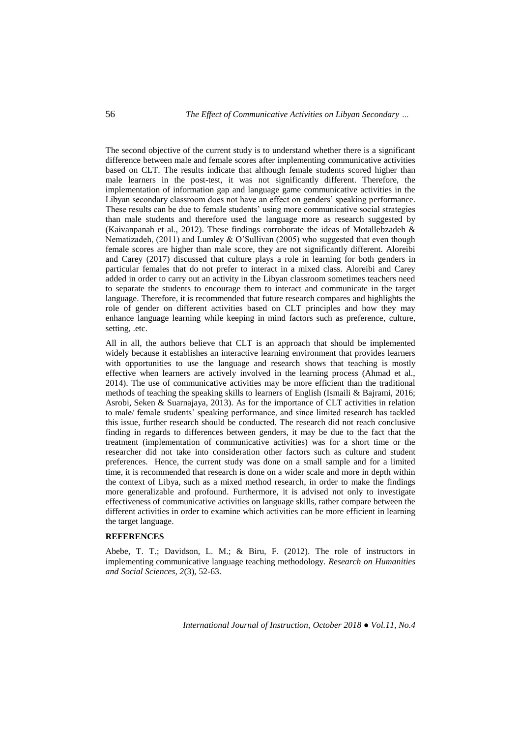The second objective of the current study is to understand whether there is a significant difference between male and female scores after implementing communicative activities based on CLT. The results indicate that although female students scored higher than male learners in the post-test, it was not significantly different. Therefore, the implementation of information gap and language game communicative activities in the Libyan secondary classroom does not have an effect on genders' speaking performance. These results can be due to female students' using more communicative social strategies than male students and therefore used the language more as research suggested by (Kaivanpanah et al., 2012). These findings corroborate the ideas of Motallebzadeh  $\&$ Nematizadeh, (2011) and Lumley & O'Sullivan (2005) who suggested that even though female scores are higher than male score, they are not significantly different. Aloreibi and Carey (2017) discussed that culture plays a role in learning for both genders in particular females that do not prefer to interact in a mixed class. Aloreibi and Carey added in order to carry out an activity in the Libyan classroom sometimes teachers need to separate the students to encourage them to interact and communicate in the target language. Therefore, it is recommended that future research compares and highlights the role of gender on different activities based on CLT principles and how they may enhance language learning while keeping in mind factors such as preference, culture, setting, .etc.

All in all, the authors believe that CLT is an approach that should be implemented widely because it establishes an interactive learning environment that provides learners with opportunities to use the language and research shows that teaching is mostly effective when learners are actively involved in the learning process (Ahmad et al., 2014). The use of communicative activities may be more efficient than the traditional methods of teaching the speaking skills to learners of English (Ismaili & Bajrami, 2016; Asrobi, Seken & Suarnajaya, 2013). As for the importance of CLT activities in relation to male/ female students' speaking performance, and since limited research has tackled this issue, further research should be conducted. The research did not reach conclusive finding in regards to differences between genders, it may be due to the fact that the treatment (implementation of communicative activities) was for a short time or the researcher did not take into consideration other factors such as culture and student preferences. Hence, the current study was done on a small sample and for a limited time, it is recommended that research is done on a wider scale and more in depth within the context of Libya, such as a mixed method research, in order to make the findings more generalizable and profound. Furthermore, it is advised not only to investigate effectiveness of communicative activities on language skills, rather compare between the different activities in order to examine which activities can be more efficient in learning the target language.

# **REFERENCES**

Abebe, T. T.; Davidson, L. M.; & Biru, F. (2012). The role of instructors in implementing communicative language teaching methodology. *Research on Humanities and Social Sciences, 2*(3), 52-63.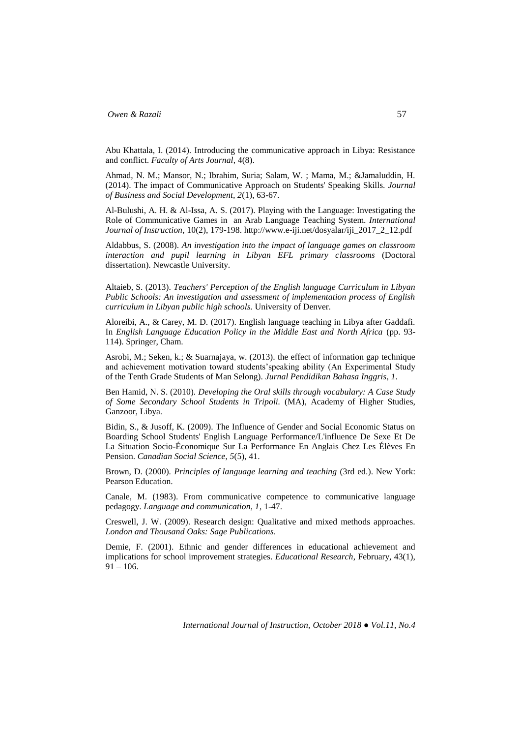Abu Khattala, I. (2014). Introducing the communicative approach in Libya: Resistance and conflict. *Faculty of Arts Journal*, 4(8).

Ahmad, N. M.; Mansor, N.; Ibrahim, Suria; Salam, W. ; Mama, M.; &Jamaluddin, H. (2014). The impact of Communicative Approach on Students' Speaking Skills. *Journal of Business and Social Development, 2*(1), 63-67.

Al-Bulushi, A. H. & Al-Issa, A. S. (2017). Playing with the Language: Investigating the Role of Communicative Games in an Arab Language Teaching System. *International Journal of Instruction*, 10(2), 179-198. http://www.e-iji.net/dosyalar/iji\_2017\_2\_12.pdf

Aldabbus, S. (2008). *An investigation into the impact of language games on classroom interaction and pupil learning in Libyan EFL primary classrooms* (Doctoral dissertation). Newcastle University.

Altaieb, S. (2013). *Teachers' Perception of the English language Curriculum in Libyan Public Schools: An investigation and assessment of implementation process of English curriculum in Libyan public high schools.* University of Denver.

Aloreibi, A., & Carey, M. D. (2017). English language teaching in Libya after Gaddafi. In *English Language Education Policy in the Middle East and North Africa* (pp. 93- 114). Springer, Cham.

Asrobi, M.; Seken, k.; & Suarnajaya, w. (2013). the effect of information gap technique and achievement motivation toward students'speaking ability (An Experimental Study of the Tenth Grade Students of Man Selong). *Jurnal Pendidikan Bahasa Inggris*, *1*.

Ben Hamid, N. S. (2010). *Developing the Oral skills through vocabulary: A Case Study of Some Secondary School Students in Tripoli.* (MA), Academy of Higher Studies, Ganzoor, Libya.

Bidin, S., & Jusoff, K. (2009). The Influence of Gender and Social Economic Status on Boarding School Students' English Language Performance/L'influence De Sexe Et De La Situation Socio-Économique Sur La Performance En Anglais Chez Les Élèves En Pension. *Canadian Social Science*, *5*(5), 41.

Brown, D. (2000). *Principles of language learning and teaching* (3rd ed.). New York: Pearson Education.

Canale, M. (1983). From communicative competence to communicative language pedagogy. *Language and communication, 1*, 1-47.

Creswell, J. W. (2009). Research design: Qualitative and mixed methods approaches. *London and Thousand Oaks: Sage Publications*.

Demie, F. (2001). Ethnic and gender differences in educational achievement and implications for school improvement strategies. *Educational Research*, February, 43(1),  $91 - 106$ .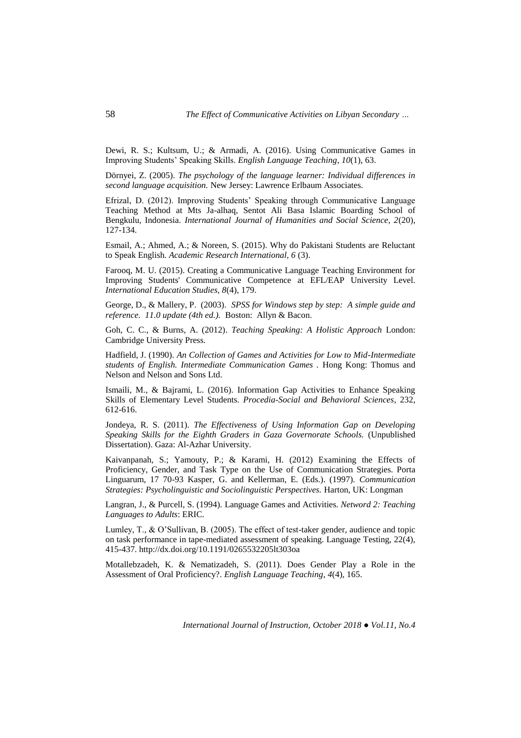Dewi, R. S.; Kultsum, U.; & Armadi, A. (2016). Using Communicative Games in Improving Students' Speaking Skills. *English Language Teaching*, *10*(1), 63.

Dörnyei, Z. (2005). *The psychology of the language learner: Individual differences in second language acquisition.* New Jersey: Lawrence Erlbaum Associates.

Efrizal, D. (2012). Improving Students' Speaking through Communicative Language Teaching Method at Mts Ja-alhaq, Sentot Ali Basa Islamic Boarding School of Bengkulu, Indonesia. *International Journal of Humanities and Social Science, 2*(20), 127-134.

Esmail, A.; Ahmed, A.; & Noreen, S. (2015). Why do Pakistani Students are Reluctant to Speak English. *Academic Research International, 6* (3).

Farooq, M. U. (2015). Creating a Communicative Language Teaching Environment for Improving Students' Communicative Competence at EFL/EAP University Level. *International Education Studies, 8*(4), 179.

George, D., & Mallery, P. (2003). *SPSS for Windows step by step: A simple guide and reference. 11.0 update (4th ed.).* Boston: Allyn & Bacon.

Goh, C. C., & Burns, A. (2012). *Teaching Speaking: A Holistic Approach* London: Cambridge University Press.

Hadfield, J. (1990). *An Collection of Games and Activities for Low to Mid-Intermediate students of English. Intermediate Communication Games .* Hong Kong: Thomus and Nelson and Nelson and Sons Ltd.

Ismaili, M., & Bajrami, L. (2016). Information Gap Activities to Enhance Speaking Skills of Elementary Level Students. *Procedia-Social and Behavioral Sciences*, 232, 612-616.

Jondeya, R. S. (2011). *The Effectiveness of Using Information Gap on Developing Speaking Skills for the Eighth Graders in Gaza Governorate Schools.* (Unpublished Dissertation). Gaza: Al-Azhar University.

Kaivanpanah, S.; Yamouty, P.; & Karami, H. (2012) Examining the Effects of Proficiency, Gender, and Task Type on the Use of Communication Strategies. Porta Linguarum, 17 70-93 Kasper, G. and Kellerman, E. (Eds.). (1997). *Communication Strategies: Psycholinguistic and Sociolinguistic Perspectives.* Harton, UK: Longman

Langran, J., & Purcell, S. (1994). Language Games and Activities. *Netword 2: Teaching Languages to Adults*: ERIC.

Lumley, T., & O'Sullivan, B. (2005). The effect of test-taker gender, audience and topic on task performance in tape-mediated assessment of speaking. Language Testing, 22(4), 415-437. http://dx.doi.org/10.1191/0265532205lt303oa

Motallebzadeh, K. & Nematizadeh, S. (2011). Does Gender Play a Role in the Assessment of Oral Proficiency?. *English Language Teaching*, *4*(4), 165.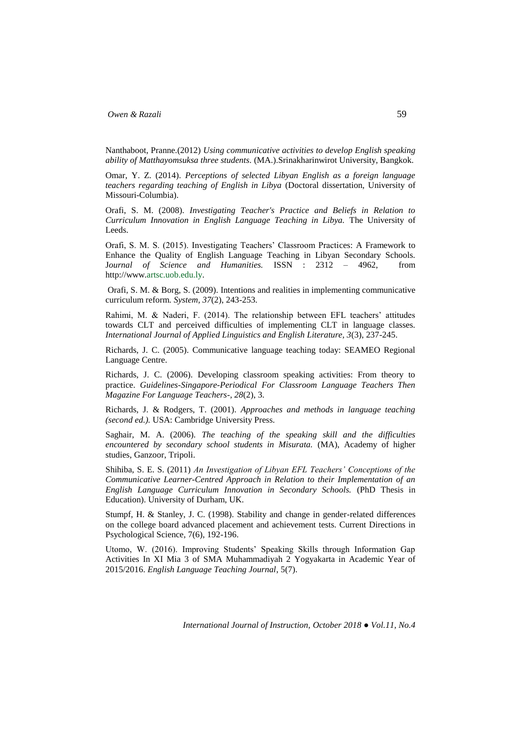Nanthaboot, Pranne.(2012) *Using communicative activities to develop English speaking ability of Matthayomsuksa three students.* (MA.).Srinakharinwirot University, Bangkok.

Omar, Y. Z. (2014). *Perceptions of selected Libyan English as a foreign language teachers regarding teaching of English in Libya* (Doctoral dissertation, University of Missouri-Columbia).

Orafi, S. M. (2008). *Investigating Teacher's Practice and Beliefs in Relation to Curriculum Innovation in English Language Teaching in Libya.* The University of Leeds.

Orafi, S. M. S. (2015). Investigating Teachers' Classroom Practices: A Framework to Enhance the Quality of English Language Teaching in Libyan Secondary Schools. J*ournal of Science and Humanities.* ISSN : 2312 – 4962, from http://www.artsc.uob.edu.ly.

Orafi, S. M. & Borg, S. (2009). Intentions and realities in implementing communicative curriculum reform. *System, 37*(2), 243-253.

Rahimi, M. & Naderi, F. (2014). The relationship between EFL teachers' attitudes towards CLT and perceived difficulties of implementing CLT in language classes. *International Journal of Applied Linguistics and English Literature, 3*(3), 237-245.

Richards, J. C. (2005). Communicative language teaching today: SEAMEO Regional Language Centre.

Richards, J. C. (2006). Developing classroom speaking activities: From theory to practice. *Guidelines-Singapore-Periodical For Classroom Language Teachers Then Magazine For Language Teachers-, 28*(2), 3.

Richards, J. & Rodgers, T. (2001). *Approaches and methods in language teaching (second ed.).* USA: Cambridge University Press.

Saghair, M. A. (2006). *The teaching of the speaking skill and the difficulties encountered by secondary school students in Misurata.* (MA), Academy of higher studies, Ganzoor, Tripoli.

Shihiba, S. E. S. (2011) *An Investigation of Libyan EFL Teachers' Conceptions of the Communicative Learner-Centred Approach in Relation to their Implementation of an English Language Curriculum Innovation in Secondary Schools.* (PhD Thesis in Education). University of Durham, UK.

Stumpf, H. & Stanley, J. C. (1998). Stability and change in gender-related differences on the college board advanced placement and achievement tests. Current Directions in Psychological Science, 7(6), 192-196.

Utomo, W. (2016). Improving Students' Speaking Skills through Information Gap Activities In XI Mia 3 of SMA Muhammadiyah 2 Yogyakarta in Academic Year of 2015/2016. *English Language Teaching Journal*, 5(7).